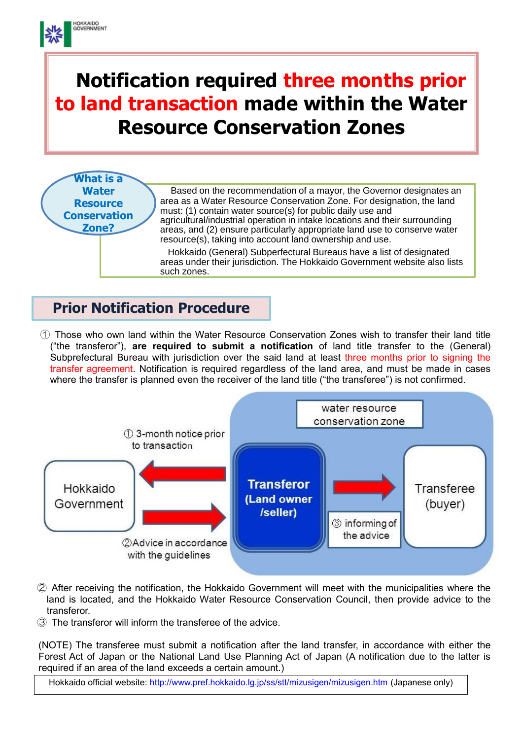# **Notification required three months prior to land transaction made within the Water Resource Conservation Zones**



## **Prior Notification Procedure**

**HOKKAIDO**<br>GOVERNMENT

① Those who own land within the Water Resource Conservation Zones wish to transfer their land title ("the transferor"), **are required to submit a notification** of land title transfer to the (General) Subprefectural Bureau with jurisdiction over the said land at least three months prior to signing the transfer agreement. Notification is required regardless of the land area, and must be made in cases where the transfer is planned even the receiver of the land title ("the transferee") is not confirmed.



- ② After receiving the notification, the Hokkaido Government will meet with the municipalities where the land is located, and the Hokkaido Water Resource Conservation Council, then provide advice to the transferor.
- ③ The transferor will inform the transferee of the advice.

(NOTE) The transferee must submit a notification after the land transfer, in accordance with either the Forest Act of Japan or the National Land Use Planning Act of Japan (A notification due to the latter is required if an area of the land exceeds a certain amount.)

Hokkaido official website:<http://www.pref.hokkaido.lg.jp/ss/stt/mizusigen/mizusigen.htm> (Japanese only)